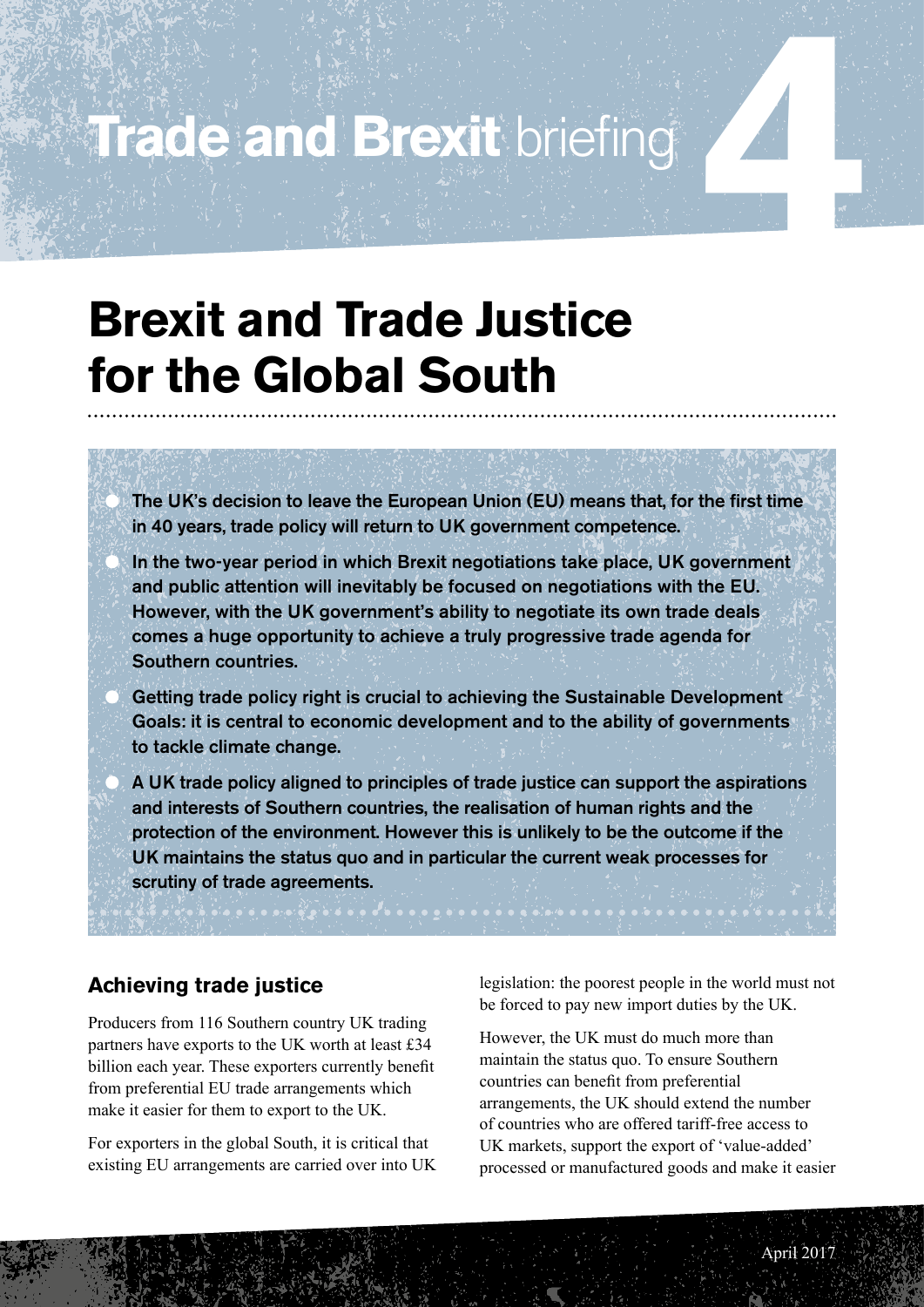## **Trade and Brexit briefing**

### **Brexit and Trade Justice for the Global South**

 The UK's decision to leave the European Union (EU) means that, for the first time in 40 years, trade policy will return to UK government competence.

 In the two-year period in which Brexit negotiations take place, UK government and public attention will inevitably be focused on negotiations with the EU. However, with the UK government's ability to negotiate its own trade deals comes a huge opportunity to achieve a truly progressive trade agenda for Southern countries.

 Getting trade policy right is crucial to achieving the Sustainable Development Goals: it is central to economic development and to the ability of governments to tackle climate change.

 A UK trade policy aligned to principles of trade justice can support the aspirations and interests of Southern countries, the realisation of human rights and the protection of the environment. However this is unlikely to be the outcome if the UK maintains the status quo and in particular the current weak processes for scrutiny of trade agreements.

#### **Achieving trade justice**

Producers from 116 Southern country UK trading partners have exports to the UK worth at least £34 billion each year. These exporters currently benefit from preferential EU trade arrangements which make it easier for them to export to the UK.

For exporters in the global South, it is critical that existing EU arrangements are carried over into UK

legislation: the poorest people in the world must not be forced to pay new import duties by the UK.

However, the UK must do much more than maintain the status quo. To ensure Southern countries can benefit from preferential arrangements, the UK should extend the number of countries who are offered tariff-free access to UK markets, support the export of 'value-added' processed or manufactured goods and make it easier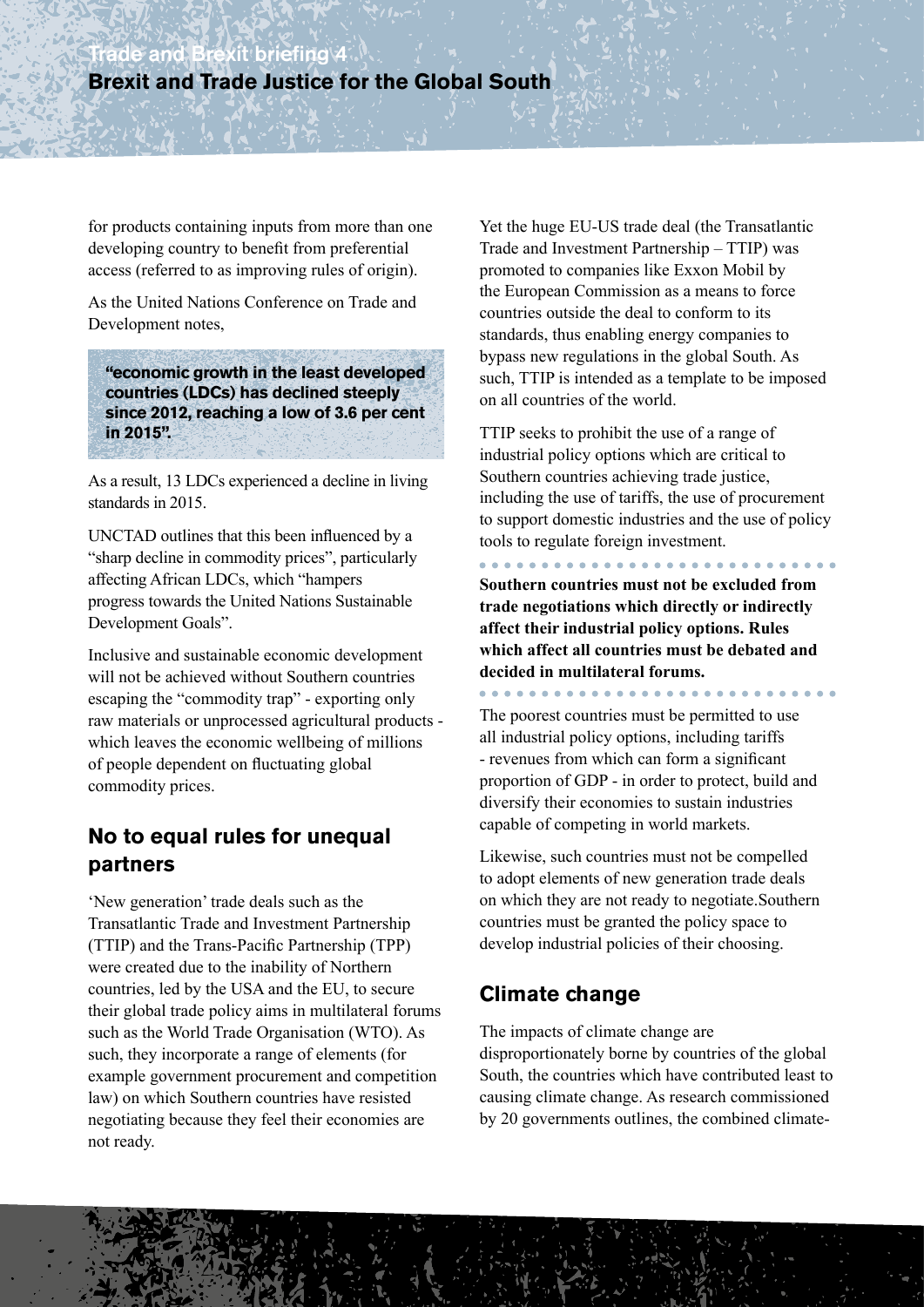for products containing inputs from more than one developing country to benefit from preferential access (referred to as improving rules of origin).

As the United Nations Conference on Trade and Development notes,

**"economic growth in the least developed countries (LDCs) has declined steeply since 2012, reaching a low of 3.6 per cent in 2015".** 

As a result, 13 LDCs experienced a decline in living standards in 2015.

UNCTAD outlines that this been influenced by a "sharp decline in commodity prices", particularly affecting African LDCs, which "hampers progress towards the United Nations Sustainable Development Goals".

Inclusive and sustainable economic development will not be achieved without Southern countries escaping the "commodity trap" - exporting only raw materials or unprocessed agricultural products which leaves the economic wellbeing of millions of people dependent on fluctuating global commodity prices.

#### **No to equal rules for unequal partners**

'New generation' trade deals such as the Transatlantic Trade and Investment Partnership (TTIP) and the Trans-Pacific Partnership (TPP) were created due to the inability of Northern countries, led by the USA and the EU, to secure their global trade policy aims in multilateral forums such as the World Trade Organisation (WTO). As such, they incorporate a range of elements (for example government procurement and competition law) on which Southern countries have resisted negotiating because they feel their economies are not ready.

Yet the huge EU-US trade deal (the Transatlantic Trade and Investment Partnership – TTIP) was promoted to companies like Exxon Mobil by the European Commission as a means to force countries outside the deal to conform to its standards, thus enabling energy companies to bypass new regulations in the global South. As such, TTIP is intended as a template to be imposed on all countries of the world.

TTIP seeks to prohibit the use of a range of industrial policy options which are critical to Southern countries achieving trade justice, including the use of tariffs, the use of procurement to support domestic industries and the use of policy tools to regulate foreign investment.

**Southern countries must not be excluded from trade negotiations which directly or indirectly affect their industrial policy options. Rules which affect all countries must be debated and decided in multilateral forums.**

The poorest countries must be permitted to use all industrial policy options, including tariffs - revenues from which can form a significant proportion of GDP - in order to protect, build and diversify their economies to sustain industries capable of competing in world markets.

Likewise, such countries must not be compelled to adopt elements of new generation trade deals on which they are not ready to negotiate.Southern countries must be granted the policy space to develop industrial policies of their choosing.

#### **Climate change**

The impacts of climate change are disproportionately borne by countries of the global South, the countries which have contributed least to causing climate change. As research commissioned by 20 governments outlines, the combined climate-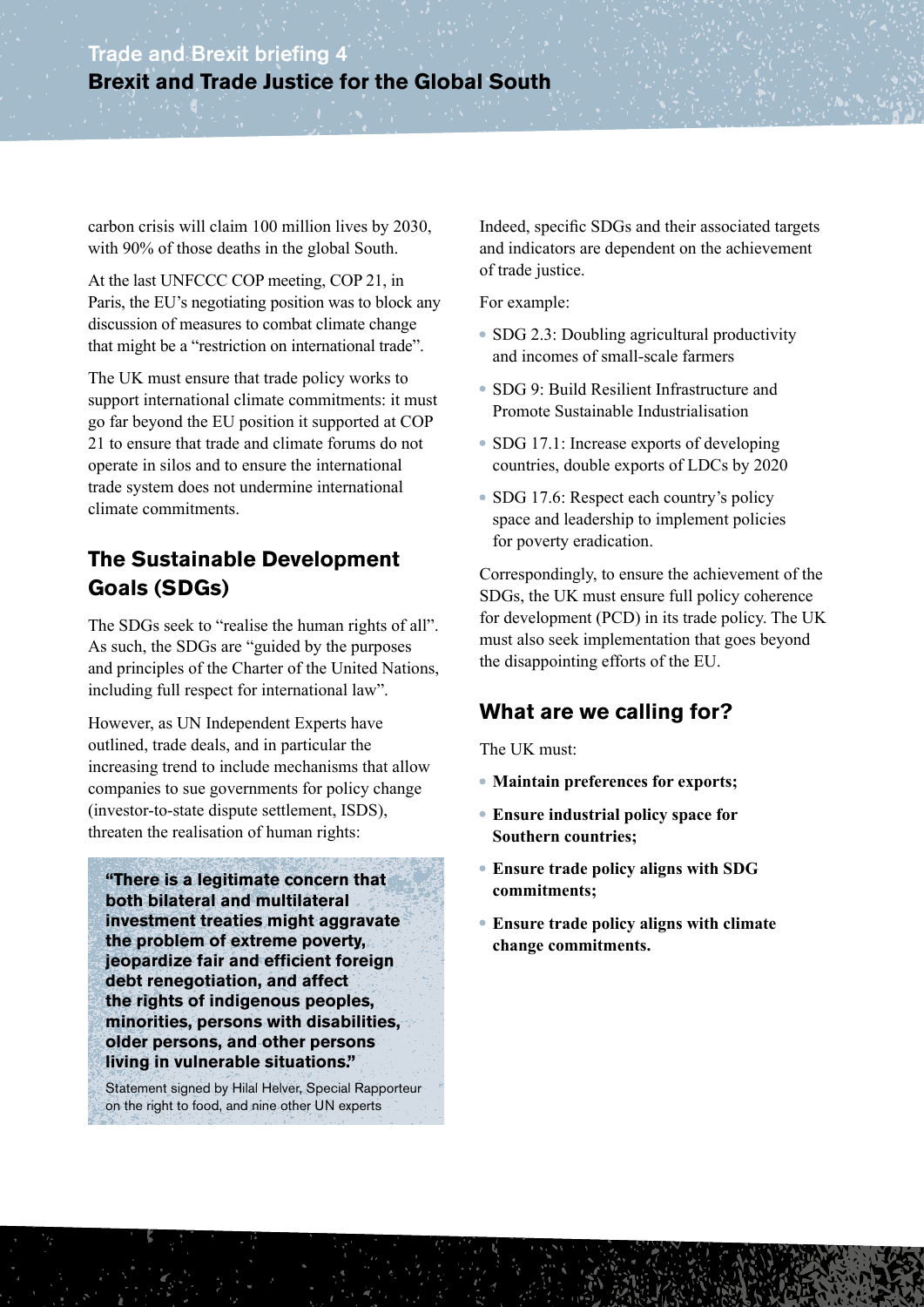carbon crisis will claim 100 million lives by 2030, with 90% of those deaths in the global South.

At the last UNFCCC COP meeting, COP 21, in Paris, the EU's negotiating position was to block any discussion of measures to combat climate change that might be a "restriction on international trade".

The UK must ensure that trade policy works to support international climate commitments: it must go far beyond the EU position it supported at COP 21 to ensure that trade and climate forums do not operate in silos and to ensure the international trade system does not undermine international climate commitments.

#### **The Sustainable Development Goals (SDGs)**

The SDGs seek to "realise the human rights of all". As such, the SDGs are "guided by the purposes and principles of the Charter of the United Nations, including full respect for international law".

However, as UN Independent Experts have outlined, trade deals, and in particular the increasing trend to include mechanisms that allow companies to sue governments for policy change (investor-to-state dispute settlement, ISDS), threaten the realisation of human rights:

**"There is a legitimate concern that both bilateral and multilateral investment treaties might aggravate the problem of extreme poverty, jeopardize fair and efficient foreign debt renegotiation, and affect the rights of indigenous peoples, minorities, persons with disabilities, older persons, and other persons living in vulnerable situations."**

Statement signed by Hilal Helver, Special Rapporteur on the right to food, and nine other UN experts

Indeed, specific SDGs and their associated targets and indicators are dependent on the achievement of trade justice.

For example:

- SDG 2.3: Doubling agricultural productivity and incomes of small-scale farmers
- SDG 9: Build Resilient Infrastructure and Promote Sustainable Industrialisation
- SDG 17.1: Increase exports of developing countries, double exports of LDCs by 2020
- SDG 17.6: Respect each country's policy space and leadership to implement policies for poverty eradication.

Correspondingly, to ensure the achievement of the SDGs, the UK must ensure full policy coherence for development (PCD) in its trade policy. The UK must also seek implementation that goes beyond the disappointing efforts of the EU.

#### **What are we calling for?**

The UK must:

- **Maintain preferences for exports;**
- **Ensure industrial policy space for Southern countries;**
- **Ensure trade policy aligns with SDG commitments;**
- **Ensure trade policy aligns with climate change commitments.**